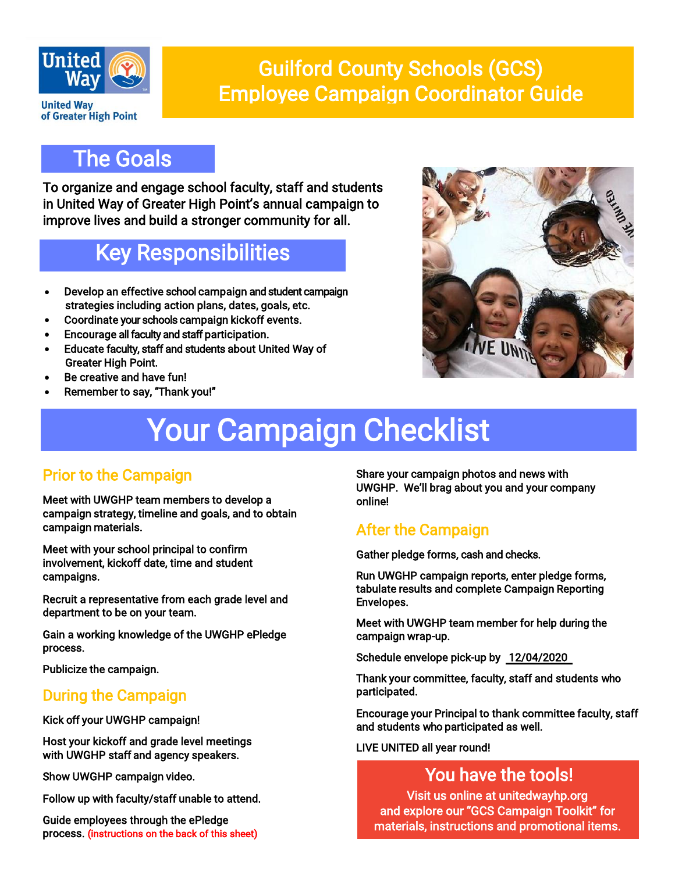

## Guilford County Schools (GCS) Employee Campaign Coordinator Guide

## The Goals

To organize and engage school faculty, staff and students in United Way of Greater High Point's annual campaign to improve lives and build a stronger community for all.

## Key Responsibilities

- Develop an effective school campaign and student campaign strategies including action plans, dates, goals, etc.
- Coordinate your schools campaign kickoff events.
- Encourage all faculty and staff participation.
- Educate faculty, staff and students about United Way of Greater High Point.
- Be creative and have fun!
- Remember to say, "Thank you!"



# Your Campaign Checklist

#### Prior to the Campaign

Meet with UWGHP team members to develop a campaign strategy, timeline and goals, and to obtain campaign materials.

Meet with your school principal to confirm involvement, kickoff date, time and student campaigns.

Recruit a representative from each grade level and department to be on your team.

Gain a working knowledge of the UWGHP ePledge process.

Publicize the campaign.

#### During the Campaign

Kick off your UWGHP campaign!

 Host your kickoff and grade level meetings with UWGHP staff and agency speakers.

Show UWGHP campaign video.

Follow up with faculty/staff unable to attend.

Guide employees through the ePledge process. (instructions on the back of this sheet) Share your campaign photos and news with UWGHP. We'll brag about you and your company online!

### After the Campaign

Gather pledge forms, cash and checks.

Run UWGHP campaign reports, enter pledge forms, tabulate results and complete Campaign Reporting Envelopes.

Meet with UWGHP team member for help during the campaign wrap-up.

Schedule envelope pick-up by 12/04/2020

Thank your committee, faculty, staff and students who participated.

Encourage your Principal to thank committee faculty, staff and students who participated as well.

LIVE UNITED all year round!

### You have the tools!

Visit us online at unitedwayhp.org and explore our "GCS Campaign Toolkit" for materials, instructions and promotional items.